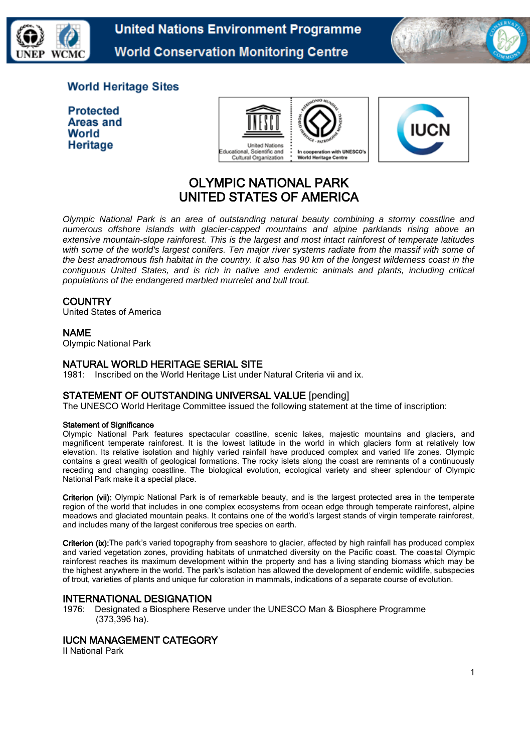

**United Nations Environment Programme World Conservation Monitoring Centre** 



## **World Heritage Sites**

| <b>Protected</b> |
|------------------|
| Areas and        |
| World            |
| Heritage         |





# OLYMPIC NATIONAL PARK UNITED STATES OF AMERICA

*Olympic National Park is an area of outstanding natural beauty combining a stormy coastline and numerous offshore islands with glacier-capped mountains and alpine parklands rising above an extensive mountain-slope rainforest. This is the largest and most intact rainforest of temperate latitudes*  with some of the world's largest conifers. Ten major river systems radiate from the massif with some of *the best anadromous fish habitat in the country. It also has 90 km of the longest wilderness coast in the contiguous United States, and is rich in native and endemic animals and plants, including critical populations of the endangered marbled murrelet and bull trout.*

### **COUNTRY**

United States of America

### NAME

Olympic National Park

#### NATURAL WORLD HERITAGE SERIAL SITE

1981: Inscribed on the World Heritage List under Natural Criteria vii and ix.

### STATEMENT OF OUTSTANDING UNIVERSAL VALUE [pending]

The UNESCO World Heritage Committee issued the following statement at the time of inscription:

#### Statement of Significance

Olympic National Park features spectacular coastline, scenic lakes, majestic mountains and glaciers, and magnificent temperate rainforest. It is the lowest latitude in the world in which glaciers form at relatively low elevation. Its relative isolation and highly varied rainfall have produced complex and varied life zones. Olympic contains a great wealth of geological formations. The rocky islets along the coast are remnants of a continuously receding and changing coastline. The biological evolution, ecological variety and sheer splendour of Olympic National Park make it a special place.

Criterion (vii): Olympic National Park is of remarkable beauty, and is the largest protected area in the temperate region of the world that includes in one complex ecosystems from ocean edge through temperate rainforest, alpine meadows and glaciated mountain peaks. It contains one of the world's largest stands of virgin temperate rainforest, and includes many of the largest coniferous tree species on earth.

Criterion (ix): The park's varied topography from seashore to glacier, affected by high rainfall has produced complex and varied vegetation zones, providing habitats of unmatched diversity on the Pacific coast. The coastal Olympic rainforest reaches its maximum development within the property and has a living standing biomass which may be the highest anywhere in the world. The park's isolation has allowed the development of endemic wildlife, subspecies of trout, varieties of plants and unique fur coloration in mammals, indications of a separate course of evolution.

### INTERNATIONAL DESIGNATION

1976: Designated a Biosphere Reserve under the UNESCO Man & Biosphere Programme (373,396 ha).

### IUCN MANAGEMENT CATEGORY

II National Park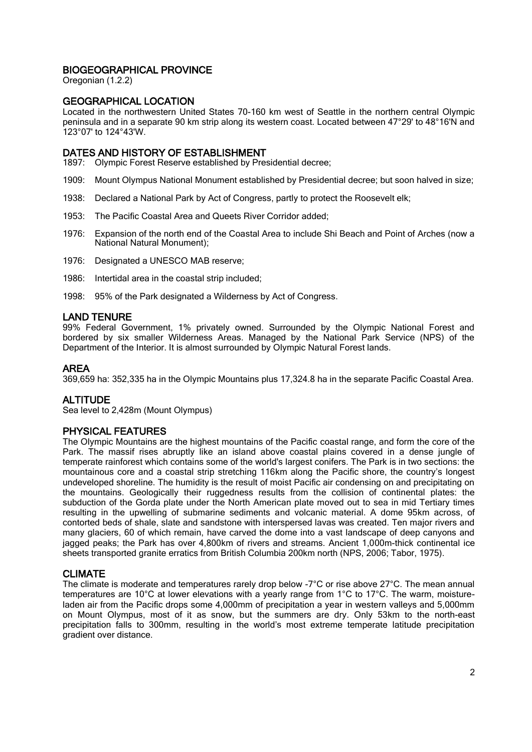### BIOGEOGRAPHICAL PROVINCE

Oregonian (1.2.2)

### GEOGRAPHICAL LOCATION

Located in the northwestern United States 70-160 km west of Seattle in the northern central Olympic peninsula and in a separate 90 km strip along its western coast. Located between 47°29' to 48°16'N and 123°07' to 124°43'W.

### DATES AND HISTORY OF ESTABLISHMENT

1897: Olympic Forest Reserve established by Presidential decree;

- 1909: Mount Olympus National Monument established by Presidential decree; but soon halved in size;
- 1938: Declared a National Park by Act of Congress, partly to protect the Roosevelt elk;
- 1953: The Pacific Coastal Area and Queets River Corridor added;
- 1976: Expansion of the north end of the Coastal Area to include Shi Beach and Point of Arches (now a National Natural Monument);
- 1976: Designated a UNESCO MAB reserve;
- 1986: Intertidal area in the coastal strip included;
- 1998: 95% of the Park designated a Wilderness by Act of Congress.

### LAND TENURE

99% Federal Government, 1% privately owned. Surrounded by the Olympic National Forest and bordered by six smaller Wilderness Areas. Managed by the National Park Service (NPS) of the Department of the Interior. It is almost surrounded by Olympic Natural Forest lands.

### AREA

369,659 ha: 352,335 ha in the Olympic Mountains plus 17,324.8 ha in the separate Pacific Coastal Area.

### **ALTITUDE**

Sea level to 2,428m (Mount Olympus)

### PHYSICAL FEATURES

The Olympic Mountains are the highest mountains of the Pacific coastal range, and form the core of the Park. The massif rises abruptly like an island above coastal plains covered in a dense jungle of temperate rainforest which contains some of the world's largest conifers. The Park is in two sections: the mountainous core and a coastal strip stretching 116km along the Pacific shore, the country's longest undeveloped shoreline. The humidity is the result of moist Pacific air condensing on and precipitating on the mountains. Geologically their ruggedness results from the collision of continental plates: the subduction of the Gorda plate under the North American plate moved out to sea in mid Tertiary times resulting in the upwelling of submarine sediments and volcanic material. A dome 95km across, of contorted beds of shale, slate and sandstone with interspersed lavas was created. Ten major rivers and many glaciers, 60 of which remain, have carved the dome into a vast landscape of deep canyons and jagged peaks; the Park has over 4,800km of rivers and streams. Ancient 1,000m-thick continental ice sheets transported granite erratics from British Columbia 200km north (NPS, 2006; Tabor, 1975).

### CLIMATE

The climate is moderate and temperatures rarely drop below -7°C or rise above 27°C. The mean annual temperatures are 10°C at lower elevations with a yearly range from 1°C to 17°C. The warm, moistureladen air from the Pacific drops some 4,000mm of precipitation a year in western valleys and 5,000mm on Mount Olympus, most of it as snow, but the summers are dry. Only 53km to the north-east precipitation falls to 300mm, resulting in the world's most extreme temperate latitude precipitation gradient over distance.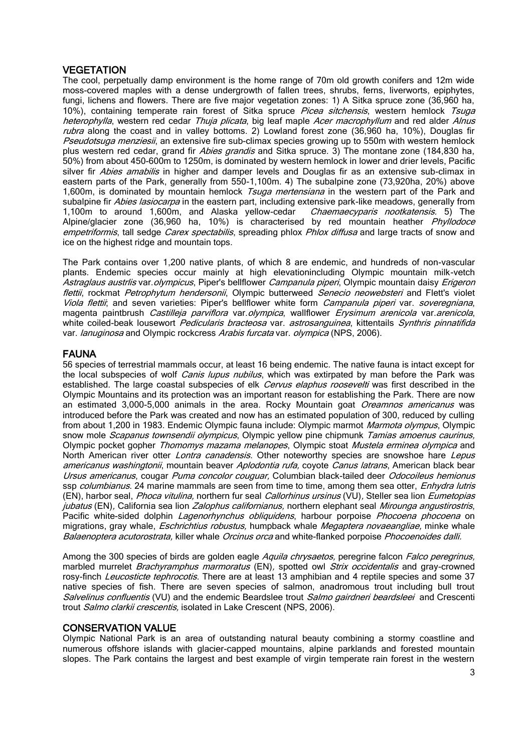### **VEGETATION**

The cool, perpetually damp environment is the home range of 70m old growth conifers and 12m wide moss-covered maples with a dense undergrowth of fallen trees, shrubs, ferns, liverworts, epiphytes, fungi, lichens and flowers. There are five major vegetation zones: 1) A Sitka spruce zone (36,960 ha, 10%), containing temperate rain forest of Sitka spruce Picea sitchensis, western hemlock Tsuga heterophylla, western red cedar Thuja plicata, big leaf maple Acer macrophyllum and red alder Alnus rubra along the coast and in valley bottoms. 2) Lowland forest zone (36,960 ha, 10%), Douglas fir Pseudotsuga menziesii, an extensive fire sub-climax species growing up to 550m with western hemlock plus western red cedar, grand fir Abies grandis and Sitka spruce. 3) The montane zone (184,830 ha, 50%) from about 450-600m to 1250m, is dominated by western hemlock in lower and drier levels, Pacific silver fir Abies amabilis in higher and damper levels and Douglas fir as an extensive sub-climax in eastern parts of the Park, generally from 550-1,100m. 4) The subalpine zone (73,920ha, 20%) above 1,600m, is dominated by mountain hemlock Tsuga mertensiana in the western part of the Park and subalpine fir *Abies lasiocarpa* in the eastern part, including extensive park-like meadows, generally from 1,100m to around 1,600m, and Alaska yellow-cedar *Chaemaecyparis nootkatensis*. 5) The 1,100m to around 1,600m, and Alaska yellow-cedar Alpine/glacier zone (36,960 ha, 10%) is characterised by red mountain heather *Phyllodoce* empetriformis, tall sedge Carex spectabilis, spreading phlox Phlox diffusa and large tracts of snow and ice on the highest ridge and mountain tops.

The Park contains over 1,200 native plants, of which 8 are endemic, and hundreds of non-vascular plants. Endemic species occur mainly at high elevationincluding Olympic mountain milk-vetch Astraglaus austrlis var. olympicus, Piper's bellflower Campanula piperi, Olympic mountain daisy Erigeron flettii, rockmat Petrophytum hendersonii, Olympic butterweed Senecio neowebsteri and Flett's violet Viola flettii; and seven varieties: Piper's bellflower white form Campanula piperi var. soveregniana, magenta paintbrush Castilleja parviflora var.olympica, wallflower Erysimum arenicola var.arenicola, white coiled-beak lousewort *Pedicularis bracteosa* var. *astrosanguinea*, kittentails *Synthris pinnatifida* var. *lanuginosa* and Olympic rockcress Arabis furcata var. *olympica* (NPS, 2006).

### FAUNA

56 species of terrestrial mammals occur, at least 16 being endemic. The native fauna is intact except for the local subspecies of wolf *Canis lupus nubilus*, which was extirpated by man before the Park was established. The large coastal subspecies of elk Cervus elaphus roosevelti was first described in the Olympic Mountains and its protection was an important reason for establishing the Park. There are now an estimated 3,000-5,000 animals in the area. Rocky Mountain goat Oreamnos americanus was introduced before the Park was created and now has an estimated population of 300, reduced by culling from about 1,200 in 1983. Endemic Olympic fauna include: Olympic marmot Marmota olympus, Olympic snow mole Scapanus townsendii olympicus, Olympic yellow pine chipmunk Tamias amoenus caurinus, Olympic pocket gopher Thomomys mazama melanopes, Olympic stoat Mustela erminea olympica and North American river otter *Lontra canadensis*. Other noteworthy species are snowshoe hare *Lepus* americanus washingtonii, mountain beaver Aplodontia rufa, coyote Canus latrans, American black bear Ursus americanus, cougar Puma concolor couguar, Columbian black-tailed deer Odocoileus hemionus ssp *columbianus*. 24 marine mammals are seen from time to time, among them sea otter, *Enhydra lutris* (EN), harbor seal, Phoca vitulina, northern fur seal Callorhinus ursinus (VU), Steller sea lion Eumetopias jubatus (EN), California sea lion Zalophus californianus, northern elephant seal Mirounga angustirostris, Pacific white-sided dolphin *Lagenorhynchus obliquidens*, harbour porpoise *Phocoena phocoena* on migrations, gray whale, *Eschrichtius robustus*, humpback whale *Megaptera novaeangliae*, minke whale Balaenoptera acutorostrata, killer whale Orcinus orca and white-flanked porpoise Phocoenoides dalli.

Among the 300 species of birds are golden eagle *Aquila chrysaetos*, peregrine falcon *Falco peregrinus*, marbled murrelet Brachyramphus marmoratus (EN), spotted owl Strix occidentalis and gray-crowned rosy-finch Leucosticte tephrocotis. There are at least 13 amphibian and 4 reptile species and some 37 native species of fish. There are seven species of salmon, anadromous trout including bull trout Salvelinus confluentis (VU) and the endemic Beardslee trout Salmo gairdneri beardsleei and Crescenti trout *Salmo clarkii crescentis*, isolated in Lake Crescent (NPS, 2006).

### CONSERVATION VALUE

Olympic National Park is an area of outstanding natural beauty combining a stormy coastline and numerous offshore islands with glacier-capped mountains, alpine parklands and forested mountain slopes. The Park contains the largest and best example of virgin temperate rain forest in the western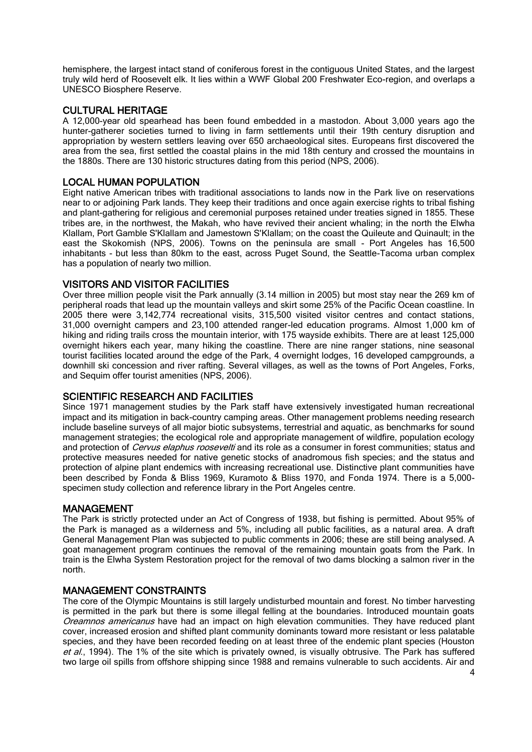hemisphere, the largest intact stand of coniferous forest in the contiguous United States, and the largest truly wild herd of Roosevelt elk. It lies within a WWF Global 200 Freshwater Eco-region, and overlaps a UNESCO Biosphere Reserve.

### CULTURAL HERITAGE

A 12,000-year old spearhead has been found embedded in a mastodon. About 3,000 years ago the hunter-gatherer societies turned to living in farm settlements until their 19th century disruption and appropriation by western settlers leaving over 650 archaeological sites. Europeans first discovered the area from the sea, first settled the coastal plains in the mid 18th century and crossed the mountains in the 1880s. There are 130 historic structures dating from this period (NPS, 2006).

### LOCAL HUMAN POPULATION

Eight native American tribes with traditional associations to lands now in the Park live on reservations near to or adjoining Park lands. They keep their traditions and once again exercise rights to tribal fishing and plant-gathering for religious and ceremonial purposes retained under treaties signed in 1855. These tribes are, in the northwest, the Makah, who have revived their ancient whaling; in the north the Elwha Klallam, Port Gamble S'Klallam and Jamestown S'Klallam; on the coast the Quileute and Quinault; in the east the Skokomish (NPS, 2006). Towns on the peninsula are small - Port Angeles has 16,500 inhabitants - but less than 80km to the east, across Puget Sound, the Seattle-Tacoma urban complex has a population of nearly two million.

### VISITORS AND VISITOR FACILITIES

Over three million people visit the Park annually (3.14 million in 2005) but most stay near the 269 km of peripheral roads that lead up the mountain valleys and skirt some 25% of the Pacific Ocean coastline. In 2005 there were 3,142,774 recreational visits, 315,500 visited visitor centres and contact stations, 31,000 overnight campers and 23,100 attended ranger-led education programs. Almost 1,000 km of hiking and riding trails cross the mountain interior, with 175 wayside exhibits. There are at least 125,000 overnight hikers each year, many hiking the coastline. There are nine ranger stations, nine seasonal tourist facilities located around the edge of the Park, 4 overnight lodges, 16 developed campgrounds, a downhill ski concession and river rafting. Several villages, as well as the towns of Port Angeles, Forks, and Sequim offer tourist amenities (NPS, 2006).

### SCIENTIFIC RESEARCH AND FACILITIES

Since 1971 management studies by the Park staff have extensively investigated human recreational impact and its mitigation in back-country camping areas. Other management problems needing research include baseline surveys of all major biotic subsystems, terrestrial and aquatic, as benchmarks for sound management strategies; the ecological role and appropriate management of wildfire, population ecology and protection of Cervus elaphus roosevelti and its role as a consumer in forest communities; status and protective measures needed for native genetic stocks of anadromous fish species; and the status and protection of alpine plant endemics with increasing recreational use. Distinctive plant communities have been described by Fonda & Bliss 1969, Kuramoto & Bliss 1970, and Fonda 1974. There is a 5,000 specimen study collection and reference library in the Port Angeles centre.

### MANAGEMENT

The Park is strictly protected under an Act of Congress of 1938, but fishing is permitted. About 95% of the Park is managed as a wilderness and 5%, including all public facilities, as a natural area. A draft General Management Plan was subjected to public comments in 2006; these are still being analysed. A goat management program continues the removal of the remaining mountain goats from the Park. In train is the Elwha System Restoration project for the removal of two dams blocking a salmon river in the north.

### MANAGEMENT CONSTRAINTS

The core of the Olympic Mountains is still largely undisturbed mountain and forest. No timber harvesting is permitted in the park but there is some illegal felling at the boundaries. Introduced mountain goats Oreamnos americanus have had an impact on high elevation communities. They have reduced plant cover, increased erosion and shifted plant community dominants toward more resistant or less palatable species, and they have been recorded feeding on at least three of the endemic plant species (Houston et al., 1994). The 1% of the site which is privately owned, is visually obtrusive. The Park has suffered two large oil spills from offshore shipping since 1988 and remains vulnerable to such accidents. Air and